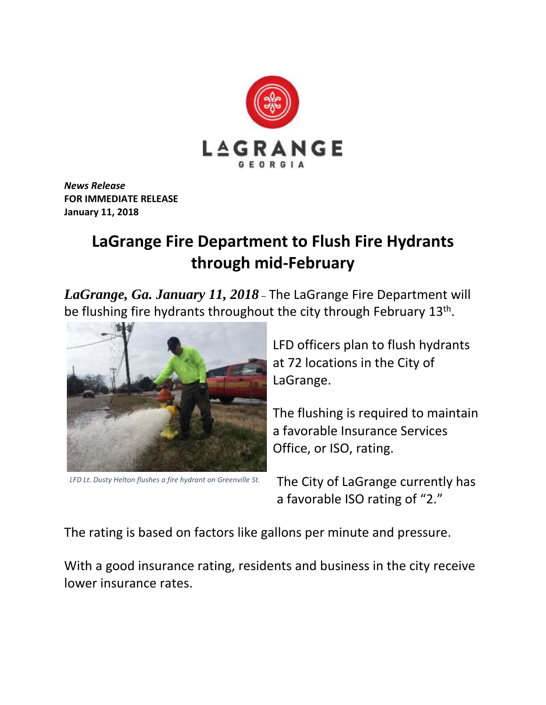

*News Release* **FOR IMMEDIATE RELEASE January 11, 2018**

## **LaGrange Fire Department to Flush Fire Hydrants through mid-February**

*LaGrange, Ga. January 11, 2018* – The LaGrange Fire Department will be flushing fire hydrants throughout the city through February 13<sup>th</sup>.



*LFD Lt. Dusty Helton flushes a fire hydrant on Greenville St.*

LFD officers plan to flush hydrants at 72 locations in the City of LaGrange.

The flushing is required to maintain a favorable Insurance Services Office, or ISO, rating.

The City of LaGrange currently has a favorable ISO rating of "2."

The rating is based on factors like gallons per minute and pressure.

With a good insurance rating, residents and business in the city receive lower insurance rates.